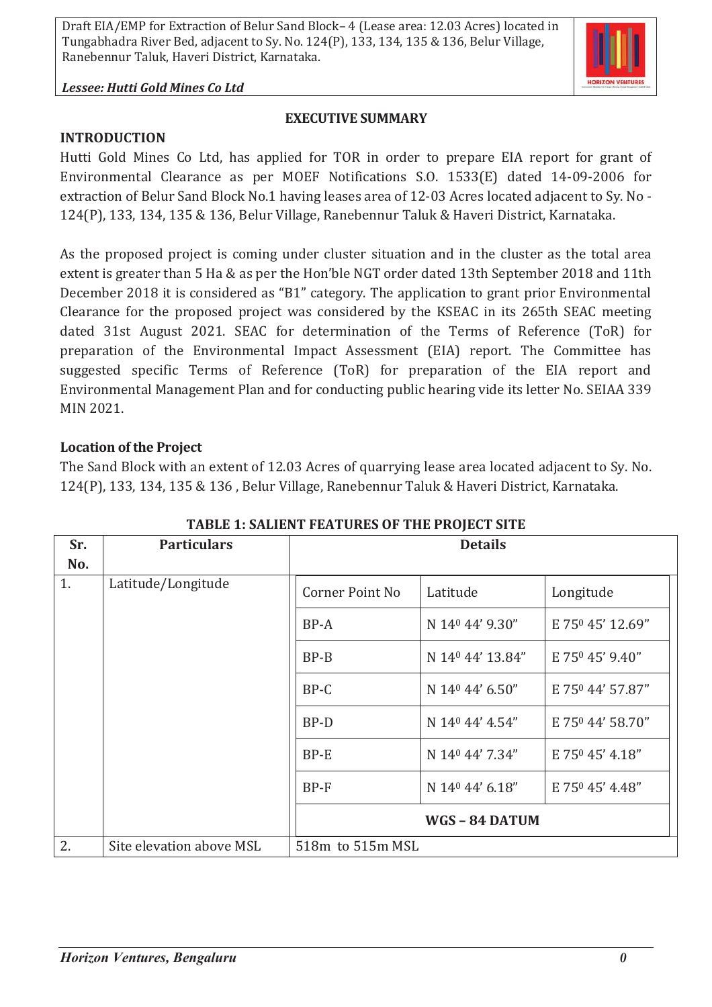*Lessee: Hutti Gold Mines Co Ltd*

#### **EXECUTIVE SUMMARY**

**INTRODUCTION**

Hutti Gold Mines Co Ltd, has applied for TOR in order to prepare EIA report for grant of Environmental Clearance as per MOEF Notifications S.O. 1533(E) dated 14-09-2006 for extraction of Belur Sand Block No.1 having leases area of 12-03 Acres located adjacent to Sy. No - 124(P), 133, 134, 135 & 136, Belur Village, Ranebennur Taluk & Haveri District, Karnataka.

As the proposed project is coming under cluster situation and in the cluster as the total area extent is greater than 5 Ha & as per the Hon'ble NGT order dated 13th September 2018 and 11th December 2018 it is considered as "B1" category. The application to grant prior Environmental Clearance for the proposed project was considered by the KSEAC in its 265th SEAC meeting dated 31st August 2021. SEAC for determination of the Terms of Reference (ToR) for preparation of the Environmental Impact Assessment (EIA) report. The Committee has suggested specific Terms of Reference (ToR) for preparation of the EIA report and Environmental Management Plan and for conducting public hearing vide its letter No. SEIAA 339 MIN 2021.

### **Location of the Project**

The Sand Block with an extent of 12.03 Acres of quarrying lease area located adjacent to Sy. No. 124(P), 133, 134, 135 & 136 , Belur Village, Ranebennur Taluk & Haveri District, Karnataka.

| Sr. | <b>Particulars</b>       | <b>Details</b>         |                             |                  |
|-----|--------------------------|------------------------|-----------------------------|------------------|
| No. |                          |                        |                             |                  |
| 1.  | Latitude/Longitude       | <b>Corner Point No</b> | Latitude                    | Longitude        |
|     |                          | BP-A                   | N 14 <sup>0</sup> 44' 9.30" | E 750 45' 12.69" |
|     |                          | $BP-B$                 | N 140 44' 13.84"            | E 750 45' 9.40"  |
|     |                          | BP-C                   | N 14 <sup>0</sup> 44' 6.50" | E 750 44' 57.87" |
|     |                          | BP-D                   | N 14 <sup>0</sup> 44' 4.54" | E 750 44' 58.70" |
|     |                          | BP-E                   | N 140 44' 7.34"             | E 750 45' 4.18"  |
|     |                          | $BP-F$                 | N 14 <sup>0</sup> 44' 6.18" | E 750 45' 4.48"  |
|     |                          |                        | WGS-84 DATUM                |                  |
| 2.  | Site elevation above MSL | 518m to 515m MSL       |                             |                  |

**TABLE 1: SALIENT FEATURES OF THE PROJECT SITE**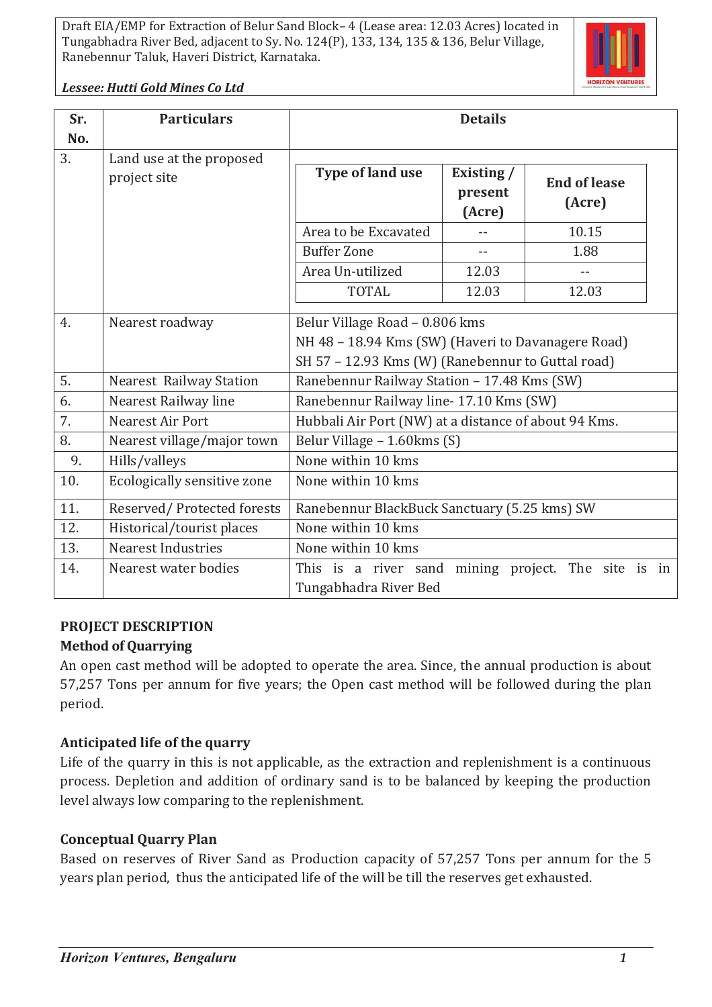

*Lessee: Hutti Gold Mines Co Ltd*

| Sr.       | <b>Particulars</b>             | <b>Details</b>                                                                                                                            |                                 |                               |
|-----------|--------------------------------|-------------------------------------------------------------------------------------------------------------------------------------------|---------------------------------|-------------------------------|
| No.<br>3. | Land use at the proposed       |                                                                                                                                           |                                 |                               |
|           | project site                   | Type of land use                                                                                                                          | Existing /<br>present<br>(Acre) | <b>End of lease</b><br>(Acre) |
|           |                                | Area to be Excavated                                                                                                                      |                                 | 10.15                         |
|           |                                | <b>Buffer Zone</b>                                                                                                                        | $- -$                           | 1.88                          |
|           |                                | Area Un-utilized                                                                                                                          | 12.03                           |                               |
|           |                                | <b>TOTAL</b>                                                                                                                              | 12.03                           | 12.03                         |
| 4.        | Nearest roadway                | Belur Village Road - 0.806 kms<br>NH 48 - 18.94 Kms (SW) (Haveri to Davanagere Road)<br>SH 57 - 12.93 Kms (W) (Ranebennur to Guttal road) |                                 |                               |
| 5.        | <b>Nearest Railway Station</b> | Ranebennur Railway Station - 17.48 Kms (SW)                                                                                               |                                 |                               |
| 6.        | Nearest Railway line           | Ranebennur Railway line- 17.10 Kms (SW)                                                                                                   |                                 |                               |
| 7.        | Nearest Air Port               | Hubbali Air Port (NW) at a distance of about 94 Kms.                                                                                      |                                 |                               |
| 8.        | Nearest village/major town     | Belur Village - 1.60 kms (S)                                                                                                              |                                 |                               |
| 9.        | Hills/valleys                  | None within 10 kms                                                                                                                        |                                 |                               |
| 10.       | Ecologically sensitive zone    | None within 10 kms                                                                                                                        |                                 |                               |
| 11.       | Reserved/Protected forests     | Ranebennur BlackBuck Sanctuary (5.25 kms) SW                                                                                              |                                 |                               |
| 12.       | Historical/tourist places      | None within 10 kms                                                                                                                        |                                 |                               |
| 13.       | <b>Nearest Industries</b>      | None within 10 kms                                                                                                                        |                                 |                               |
| 14.       | Nearest water bodies           | This is a river sand mining project. The site is in<br>Tungabhadra River Bed                                                              |                                 |                               |

# **PROJECT DESCRIPTION**

# **Method of Quarrying**

An open cast method will be adopted to operate the area. Since, the annual production is about 57,257 Tons per annum for five years; the Open cast method will be followed during the plan period.

# **Anticipated life of the quarry**

Life of the quarry in this is not applicable, as the extraction and replenishment is a continuous process. Depletion and addition of ordinary sand is to be balanced by keeping the production level always low comparing to the replenishment.

# **Conceptual Quarry Plan**

Based on reserves of River Sand as Production capacity of 57,257 Tons per annum for the 5 years plan period, thus the anticipated life of the will be till the reserves get exhausted.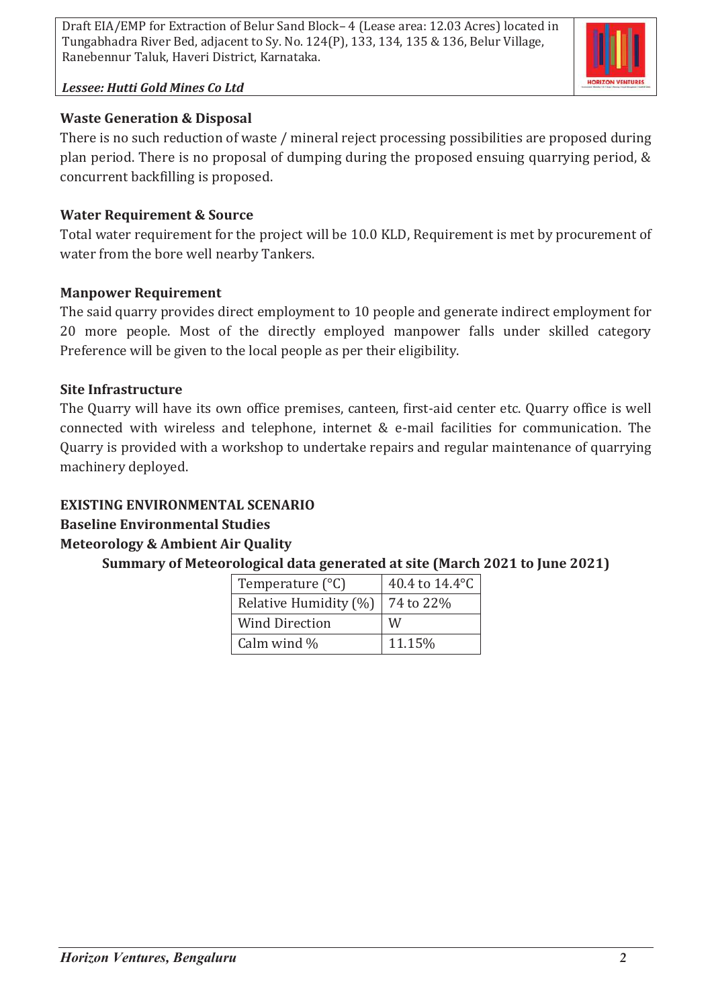

#### *Lessee: Hutti Gold Mines Co Ltd*

### **Waste Generation & Disposal**

There is no such reduction of waste / mineral reject processing possibilities are proposed during plan period. There is no proposal of dumping during the proposed ensuing quarrying period, & concurrent backfilling is proposed.

### **Water Requirement & Source**

Total water requirement for the project will be 10.0 KLD, Requirement is met by procurement of water from the bore well nearby Tankers.

### **Manpower Requirement**

The said quarry provides direct employment to 10 people and generate indirect employment for 20 more people. Most of the directly employed manpower falls under skilled category Preference will be given to the local people as per their eligibility.

### **Site Infrastructure**

The Quarry will have its own office premises, canteen, first-aid center etc. Quarry office is well connected with wireless and telephone, internet & e-mail facilities for communication. The Quarry is provided with a workshop to undertake repairs and regular maintenance of quarrying machinery deployed.

## **EXISTING ENVIRONMENTAL SCENARIO**

# **Baseline Environmental Studies**

# **Meteorology & Ambient Air Quality**

# **Summary of Meteorological data generated at site (March 2021 to June 2021)**

| Temperature $(^{\circ}C)$ | 40.4 to 14.4°C |  |  |
|---------------------------|----------------|--|--|
| Relative Humidity (%)     | 74 to 22%      |  |  |
| <b>Wind Direction</b>     | W              |  |  |
| Calm wind $\%$            | 11.15%         |  |  |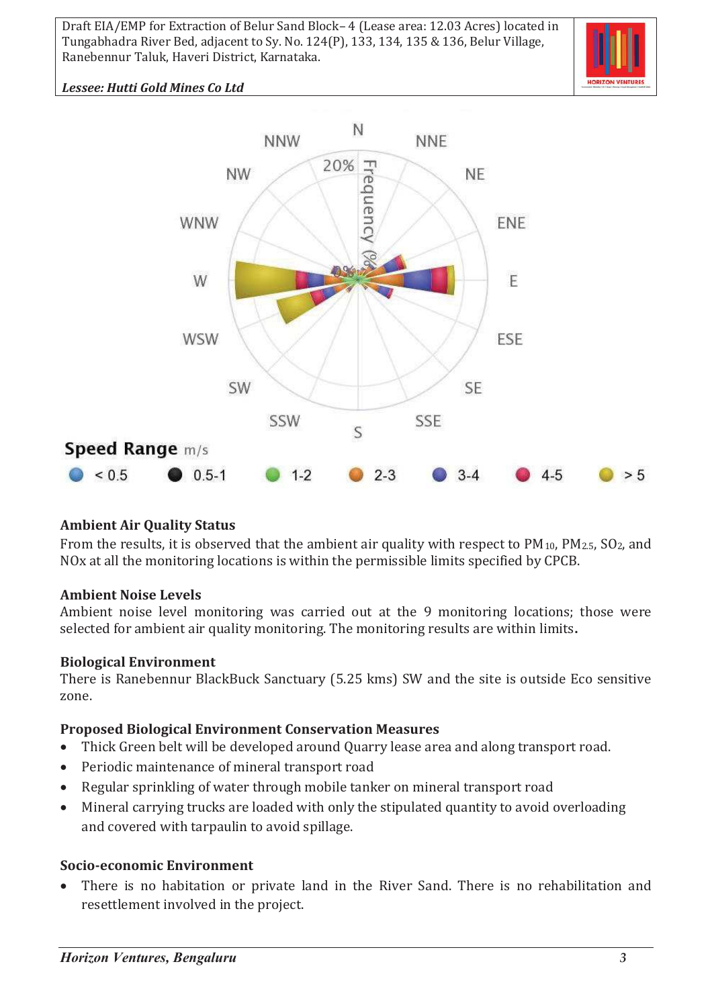

### *Lessee: Hutti Gold Mines Co Ltd*



#### **Ambient Air Quality Status**

From the results, it is observed that the ambient air quality with respect to PM<sub>10</sub>, PM<sub>2.5</sub>, SO<sub>2</sub>, and NOx at all the monitoring locations is within the permissible limits specified by CPCB.

#### **Ambient Noise Levels**

Ambient noise level monitoring was carried out at the 9 monitoring locations; those were selected for ambient air quality monitoring. The monitoring results are within limits**.**

#### **Biological Environment**

There is Ranebennur BlackBuck Sanctuary (5.25 kms) SW and the site is outside Eco sensitive zone.

#### **Proposed Biological Environment Conservation Measures**

- · Thick Green belt will be developed around Quarry lease area and along transport road.
- · Periodic maintenance of mineral transport road
- · Regular sprinkling of water through mobile tanker on mineral transport road
- · Mineral carrying trucks are loaded with only the stipulated quantity to avoid overloading and covered with tarpaulin to avoid spillage.

#### **Socio-economic Environment**

· There is no habitation or private land in the River Sand. There is no rehabilitation and resettlement involved in the project.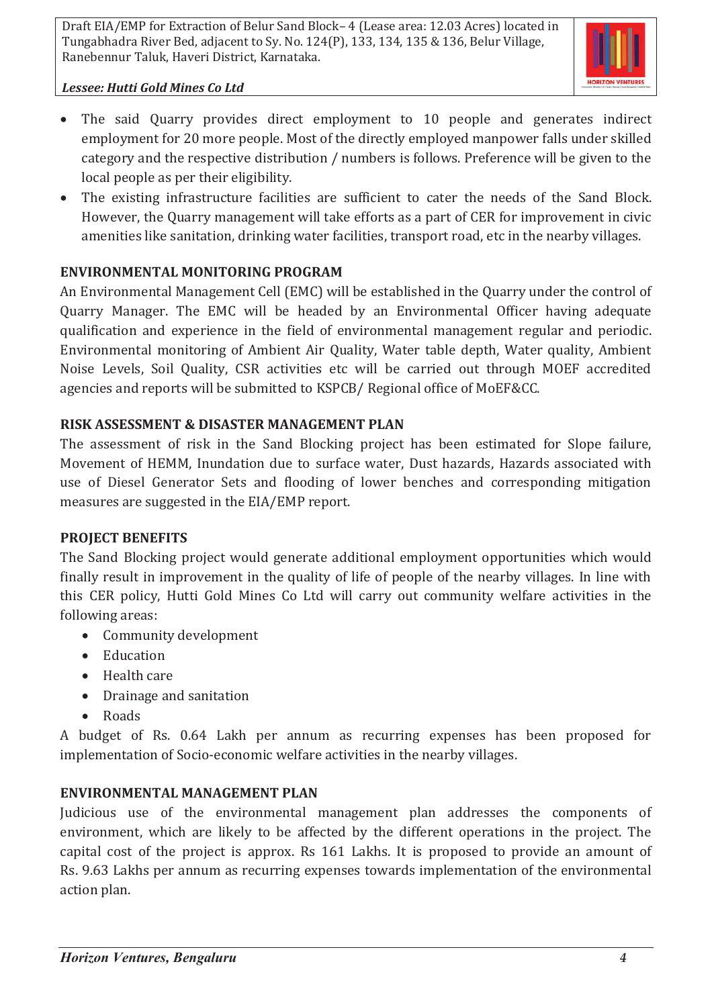

### *Lessee: Hutti Gold Mines Co Ltd*

- The said Quarry provides direct employment to 10 people and generates indirect employment for 20 more people. Most of the directly employed manpower falls under skilled category and the respective distribution / numbers is follows. Preference will be given to the local people as per their eligibility.
- · The existing infrastructure facilities are sufficient to cater the needs of the Sand Block. However, the Quarry management will take efforts as a part of CER for improvement in civic amenities like sanitation, drinking water facilities, transport road, etc in the nearby villages.

# **ENVIRONMENTAL MONITORING PROGRAM**

An Environmental Management Cell (EMC) will be established in the Quarry under the control of Quarry Manager. The EMC will be headed by an Environmental Officer having adequate qualification and experience in the field of environmental management regular and periodic. Environmental monitoring of Ambient Air Quality, Water table depth, Water quality, Ambient Noise Levels, Soil Quality, CSR activities etc will be carried out through MOEF accredited agencies and reports will be submitted to KSPCB/ Regional office of MoEF&CC.

## **RISK ASSESSMENT & DISASTER MANAGEMENT PLAN**

The assessment of risk in the Sand Blocking project has been estimated for Slope failure, Movement of HEMM, Inundation due to surface water, Dust hazards, Hazards associated with use of Diesel Generator Sets and flooding of lower benches and corresponding mitigation measures are suggested in the EIA/EMP report.

### **PROJECT BENEFITS**

The Sand Blocking project would generate additional employment opportunities which would finally result in improvement in the quality of life of people of the nearby villages. In line with this CER policy, Hutti Gold Mines Co Ltd will carry out community welfare activities in the following areas:

- · Community development
- · Education
- · Health care
- · Drainage and sanitation
- · Roads

A budget of Rs. 0.64 Lakh per annum as recurring expenses has been proposed for implementation of Socio-economic welfare activities in the nearby villages.

# **ENVIRONMENTAL MANAGEMENT PLAN**

Judicious use of the environmental management plan addresses the components of environment, which are likely to be affected by the different operations in the project. The capital cost of the project is approx. Rs 161 Lakhs. It is proposed to provide an amount of Rs. 9.63 Lakhs per annum as recurring expenses towards implementation of the environmental action plan.